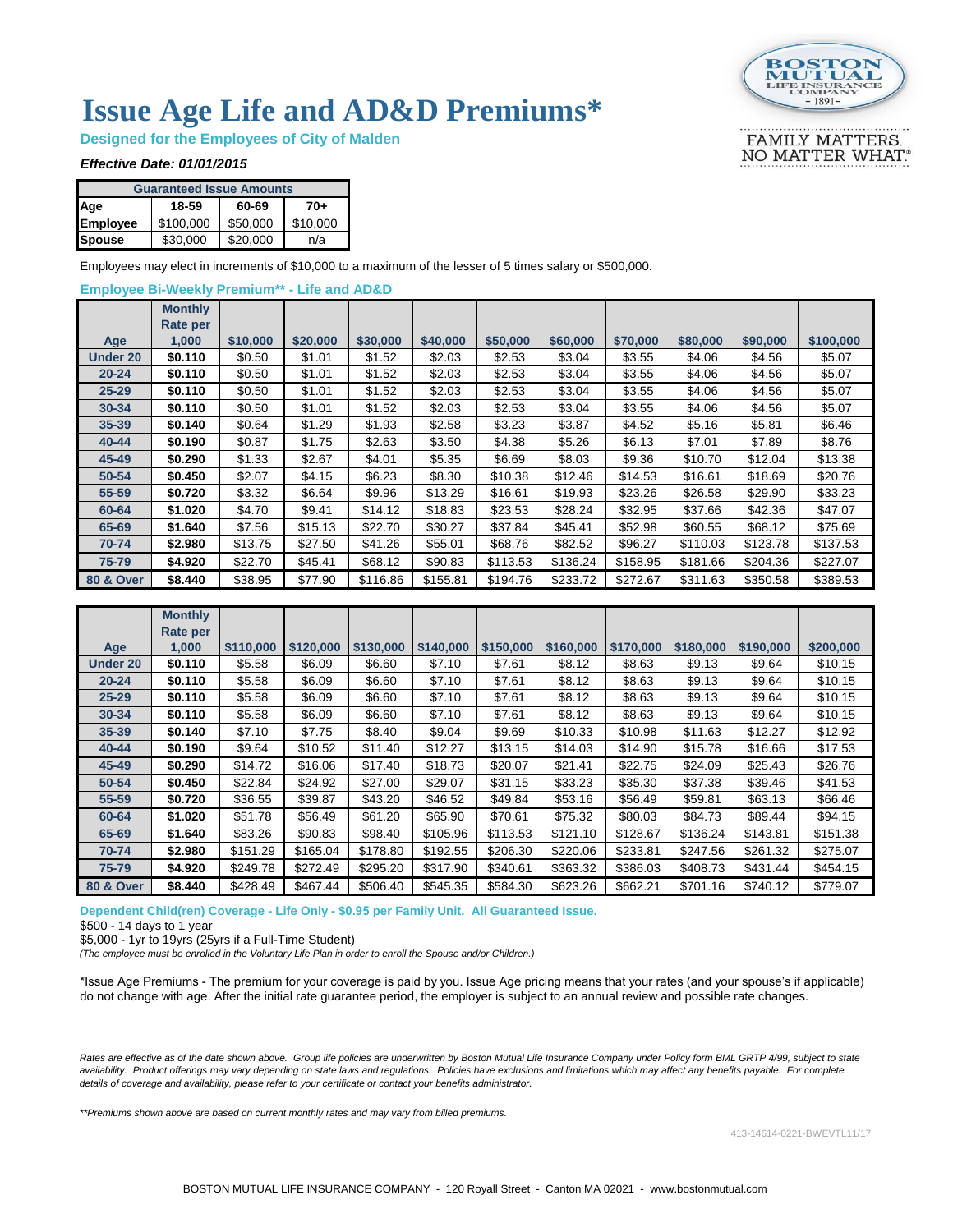

FAMILY MATTERS. NO MATTER WHAT.

## **Issue Age Life and AD&D Premiums\***

**Designed for the Employees of City of Malden**

#### *Effective Date: 01/01/2015*

| <b>Guaranteed Issue Amounts</b> |           |          |          |  |  |  |  |  |  |  |  |
|---------------------------------|-----------|----------|----------|--|--|--|--|--|--|--|--|
| Age                             | 18-59     | 60-69    | 70+      |  |  |  |  |  |  |  |  |
| <b>Employee</b>                 | \$100,000 | \$50,000 | \$10,000 |  |  |  |  |  |  |  |  |
| <b>Spouse</b>                   | \$30,000  | \$20,000 | n/a      |  |  |  |  |  |  |  |  |

Employees may elect in increments of \$10,000 to a maximum of the lesser of 5 times salary or \$500,000.

### **Employee Bi-Weekly Premium\*\* - Life and AD&D**

|                      | <b>Monthly</b>  |          |          |          |          |          |          |          |          |          |           |
|----------------------|-----------------|----------|----------|----------|----------|----------|----------|----------|----------|----------|-----------|
|                      | <b>Rate per</b> |          |          |          |          |          |          |          |          |          |           |
| Age                  | 1,000           | \$10,000 | \$20,000 | \$30,000 | \$40,000 | \$50,000 | \$60,000 | \$70,000 | \$80,000 | \$90,000 | \$100,000 |
| <b>Under 20</b>      | \$0.110         | \$0.50   | \$1.01   | \$1.52   | \$2.03   | \$2.53   | \$3.04   | \$3.55   | \$4.06   | \$4.56   | \$5.07    |
| $20 - 24$            | \$0.110         | \$0.50   | \$1.01   | \$1.52   | \$2.03   | \$2.53   | \$3.04   | \$3.55   | \$4.06   | \$4.56   | \$5.07    |
| $25 - 29$            | \$0.110         | \$0.50   | \$1.01   | \$1.52   | \$2.03   | \$2.53   | \$3.04   | \$3.55   | \$4.06   | \$4.56   | \$5.07    |
| 30-34                | \$0.110         | \$0.50   | \$1.01   | \$1.52   | \$2.03   | \$2.53   | \$3.04   | \$3.55   | \$4.06   | \$4.56   | \$5.07    |
| 35-39                | \$0.140         | \$0.64   | \$1.29   | \$1.93   | \$2.58   | \$3.23   | \$3.87   | \$4.52   | \$5.16   | \$5.81   | \$6.46    |
| 40-44                | \$0.190         | \$0.87   | \$1.75   | \$2.63   | \$3.50   | \$4.38   | \$5.26   | \$6.13   | \$7.01   | \$7.89   | \$8.76    |
| 45-49                | \$0.290         | \$1.33   | \$2.67   | \$4.01   | \$5.35   | \$6.69   | \$8.03   | \$9.36   | \$10.70  | \$12.04  | \$13.38   |
| 50-54                | \$0.450         | \$2.07   | \$4.15   | \$6.23   | \$8.30   | \$10.38  | \$12.46  | \$14.53  | \$16.61  | \$18.69  | \$20.76   |
| 55-59                | \$0.720         | \$3.32   | \$6.64   | \$9.96   | \$13.29  | \$16.61  | \$19.93  | \$23.26  | \$26.58  | \$29.90  | \$33.23   |
| 60-64                | \$1.020         | \$4.70   | \$9.41   | \$14.12  | \$18.83  | \$23.53  | \$28.24  | \$32.95  | \$37.66  | \$42.36  | \$47.07   |
| 65-69                | \$1.640         | \$7.56   | \$15.13  | \$22.70  | \$30.27  | \$37.84  | \$45.41  | \$52.98  | \$60.55  | \$68.12  | \$75.69   |
| 70-74                | \$2.980         | \$13.75  | \$27.50  | \$41.26  | \$55.01  | \$68.76  | \$82.52  | \$96.27  | \$110.03 | \$123.78 | \$137.53  |
| 75-79                | \$4.920         | \$22.70  | \$45.41  | \$68.12  | \$90.83  | \$113.53 | \$136.24 | \$158.95 | \$181.66 | \$204.36 | \$227.07  |
| <b>80 &amp; Over</b> | \$8,440         | \$38.95  | \$77.90  | \$116.86 | \$155.81 | \$194.76 | \$233.72 | \$272.67 | \$311.63 | \$350.58 | \$389.53  |

|                      | <b>Monthly</b><br>Rate per |           |           |           |           |           |           |           |           |           |           |
|----------------------|----------------------------|-----------|-----------|-----------|-----------|-----------|-----------|-----------|-----------|-----------|-----------|
| Age                  | 1,000                      | \$110,000 | \$120,000 | \$130,000 | \$140,000 | \$150,000 | \$160,000 | \$170,000 | \$180,000 | \$190,000 | \$200,000 |
| <b>Under 20</b>      | \$0.110                    | \$5.58    | \$6.09    | \$6.60    | \$7.10    | \$7.61    | \$8.12    | \$8.63    | \$9.13    | \$9.64    | \$10.15   |
| $20 - 24$            | \$0.110                    | \$5.58    | \$6.09    | \$6.60    | \$7.10    | \$7.61    | \$8.12    | \$8.63    | \$9.13    | \$9.64    | \$10.15   |
| $25 - 29$            | \$0.110                    | \$5.58    | \$6.09    | \$6.60    | \$7.10    | \$7.61    | \$8.12    | \$8.63    | \$9.13    | \$9.64    | \$10.15   |
| 30-34                | \$0.110                    | \$5.58    | \$6.09    | \$6.60    | \$7.10    | \$7.61    | \$8.12    | \$8.63    | \$9.13    | \$9.64    | \$10.15   |
| 35-39                | \$0.140                    | \$7.10    | \$7.75    | \$8.40    | \$9.04    | \$9.69    | \$10.33   | \$10.98   | \$11.63   | \$12.27   | \$12.92   |
| $40 - 44$            | \$0.190                    | \$9.64    | \$10.52   | \$11.40   | \$12.27   | \$13.15   | \$14.03   | \$14.90   | \$15.78   | \$16.66   | \$17.53   |
| 45-49                | \$0.290                    | \$14.72   | \$16.06   | \$17.40   | \$18.73   | \$20.07   | \$21.41   | \$22.75   | \$24.09   | \$25.43   | \$26.76   |
| 50-54                | \$0.450                    | \$22.84   | \$24.92   | \$27.00   | \$29.07   | \$31.15   | \$33.23   | \$35.30   | \$37.38   | \$39.46   | \$41.53   |
| 55-59                | \$0.720                    | \$36.55   | \$39.87   | \$43.20   | \$46.52   | \$49.84   | \$53.16   | \$56.49   | \$59.81   | \$63.13   | \$66.46   |
| 60-64                | \$1.020                    | \$51.78   | \$56.49   | \$61.20   | \$65.90   | \$70.61   | \$75.32   | \$80.03   | \$84.73   | \$89.44   | \$94.15   |
| 65-69                | \$1.640                    | \$83.26   | \$90.83   | \$98.40   | \$105.96  | \$113.53  | \$121.10  | \$128.67  | \$136.24  | \$143.81  | \$151.38  |
| 70-74                | \$2.980                    | \$151.29  | \$165.04  | \$178.80  | \$192.55  | \$206.30  | \$220.06  | \$233.81  | \$247.56  | \$261.32  | \$275.07  |
| 75-79                | \$4.920                    | \$249.78  | \$272.49  | \$295.20  | \$317.90  | \$340.61  | \$363.32  | \$386.03  | \$408.73  | \$431.44  | \$454.15  |
| <b>80 &amp; Over</b> | \$8.440                    | \$428.49  | \$467.44  | \$506.40  | \$545.35  | \$584.30  | \$623.26  | \$662.21  | \$701.16  | \$740.12  | \$779.07  |

#### **Dependent Child(ren) Coverage - Life Only - \$0.95 per Family Unit. All Guaranteed Issue.**

\$500 - 14 days to 1 year

\$5,000 - 1yr to 19yrs (25yrs if a Full-Time Student)

*(The employee must be enrolled in the Voluntary Life Plan in order to enroll the Spouse and/or Children.)*

\*Issue Age Premiums - The premium for your coverage is paid by you. Issue Age pricing means that your rates (and your spouse's if applicable) do not change with age. After the initial rate guarantee period, the employer is subject to an annual review and possible rate changes.

Rates are effective as of the date shown above. Group life policies are underwritten by Boston Mutual Life Insurance Company under Policy form BML GRTP 4/99, subject to state availability. Product offerings may vary depending on state laws and regulations. Policies have exclusions and limitations which may affect any benefits payable. For complete *details of coverage and availability, please refer to your certificate or contact your benefits administrator.*

*\*\*Premiums shown above are based on current monthly rates and may vary from billed premiums.*

413-14614-0221-BWEVTL11/17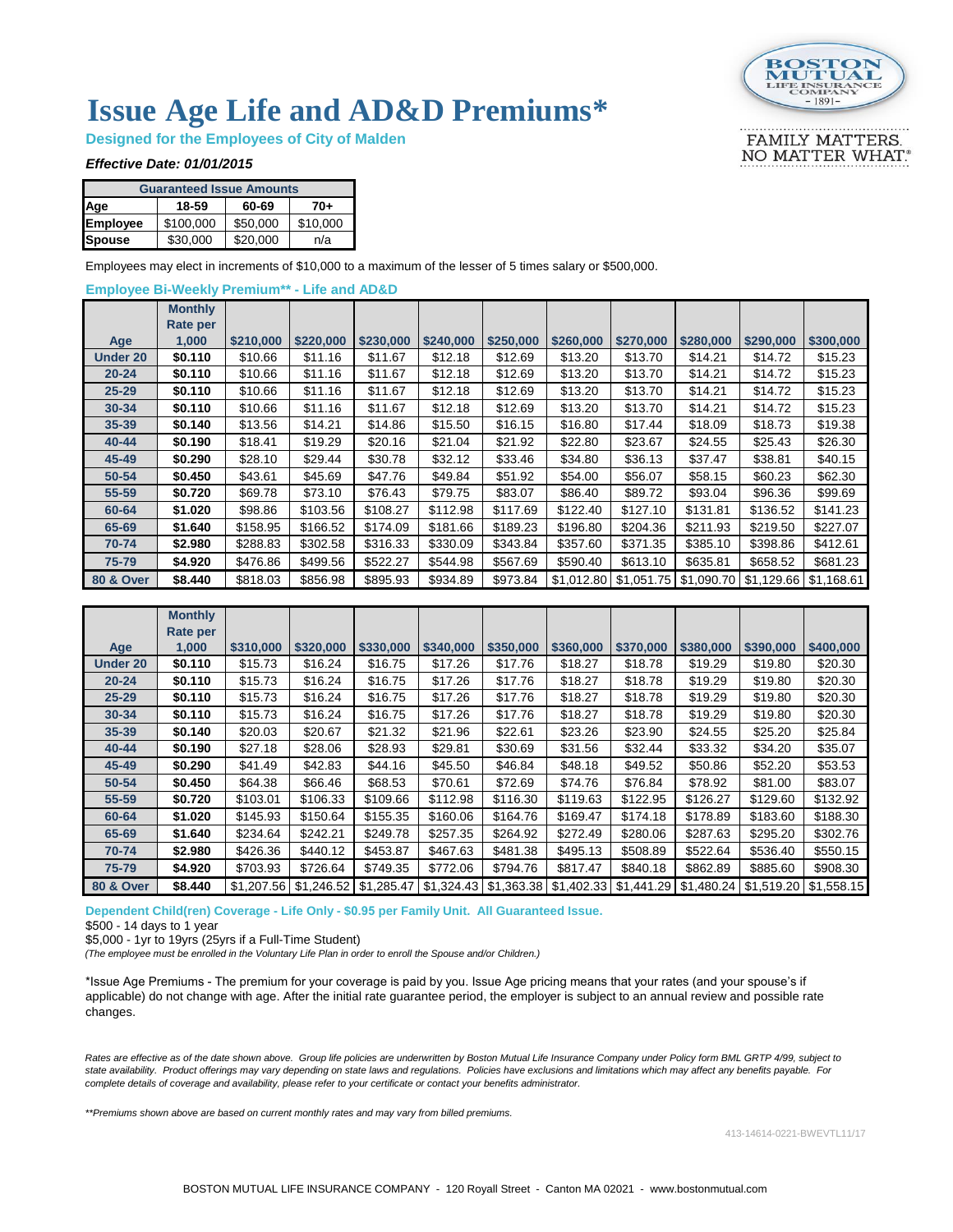

FAMILY MATTERS. NO MATTER WHAT.

# **Issue Age Life and AD&D Premiums\***

**Designed for the Employees of City of Malden**

#### *Effective Date: 01/01/2015*

| <b>Guaranteed Issue Amounts</b> |           |          |          |  |  |  |  |  |  |  |
|---------------------------------|-----------|----------|----------|--|--|--|--|--|--|--|
| Age                             | 18-59     | 60-69    | 70+      |  |  |  |  |  |  |  |
| <b>Employee</b>                 | \$100,000 | \$50,000 | \$10,000 |  |  |  |  |  |  |  |
| <b>Spouse</b>                   | \$30,000  | \$20,000 | n/a      |  |  |  |  |  |  |  |

Employees may elect in increments of \$10,000 to a maximum of the lesser of 5 times salary or \$500,000.

#### **Employee Bi-Weekly Premium\*\* - Life and AD&D**

|                      | <b>Monthly</b> |           |           |           |           |           |           |           |                                     |           |                         |
|----------------------|----------------|-----------|-----------|-----------|-----------|-----------|-----------|-----------|-------------------------------------|-----------|-------------------------|
|                      | Rate per       |           |           |           |           |           |           |           |                                     |           |                         |
| Age                  | 1,000          | \$210,000 | \$220,000 | \$230,000 | \$240,000 | \$250,000 | \$260,000 | \$270,000 | \$280,000                           | \$290,000 | \$300,000               |
| Under 20             | \$0.110        | \$10.66   | \$11.16   | \$11.67   | \$12.18   | \$12.69   | \$13.20   | \$13.70   | \$14.21                             | \$14.72   | \$15.23                 |
| $20 - 24$            | \$0.110        | \$10.66   | \$11.16   | \$11.67   | \$12.18   | \$12.69   | \$13.20   | \$13.70   | \$14.21                             | \$14.72   | \$15.23                 |
| $25 - 29$            | \$0.110        | \$10.66   | \$11.16   | \$11.67   | \$12.18   | \$12.69   | \$13.20   | \$13.70   | \$14.21                             | \$14.72   | \$15.23                 |
| $30 - 34$            | \$0.110        | \$10.66   | \$11.16   | \$11.67   | \$12.18   | \$12.69   | \$13.20   | \$13.70   | \$14.21                             | \$14.72   | \$15.23                 |
| 35-39                | \$0.140        | \$13.56   | \$14.21   | \$14.86   | \$15.50   | \$16.15   | \$16.80   | \$17.44   | \$18.09                             | \$18.73   | \$19.38                 |
| 40-44                | \$0.190        | \$18.41   | \$19.29   | \$20.16   | \$21.04   | \$21.92   | \$22.80   | \$23.67   | \$24.55                             | \$25.43   | \$26.30                 |
| 45-49                | \$0.290        | \$28.10   | \$29.44   | \$30.78   | \$32.12   | \$33.46   | \$34.80   | \$36.13   | \$37.47                             | \$38.81   | \$40.15                 |
| 50-54                | \$0.450        | \$43.61   | \$45.69   | \$47.76   | \$49.84   | \$51.92   | \$54.00   | \$56.07   | \$58.15                             | \$60.23   | \$62.30                 |
| 55-59                | \$0.720        | \$69.78   | \$73.10   | \$76.43   | \$79.75   | \$83.07   | \$86.40   | \$89.72   | \$93.04                             | \$96.36   | \$99.69                 |
| 60-64                | \$1.020        | \$98.86   | \$103.56  | \$108.27  | \$112.98  | \$117.69  | \$122.40  | \$127.10  | \$131.81                            | \$136.52  | \$141.23                |
| 65-69                | \$1.640        | \$158.95  | \$166.52  | \$174.09  | \$181.66  | \$189.23  | \$196.80  | \$204.36  | \$211.93                            | \$219.50  | \$227.07                |
| 70-74                | \$2.980        | \$288.83  | \$302.58  | \$316.33  | \$330.09  | \$343.84  | \$357.60  | \$371.35  | \$385.10                            | \$398.86  | \$412.61                |
| 75-79                | \$4.920        | \$476.86  | \$499.56  | \$522.27  | \$544.98  | \$567.69  | \$590.40  | \$613.10  | \$635.81                            | \$658.52  | \$681.23                |
| <b>80 &amp; Over</b> | \$8.440        | \$818.03  | \$856.98  | \$895.93  | \$934.89  | \$973.84  |           |           | $$1,012.80$ $$1,051.75$ $$1,090.70$ |           | \$1,129.66 \ \$1,168.61 |

|                      | <b>Monthly</b><br>Rate per |            |            |            |           |                         |            |           |                       |           |                         |
|----------------------|----------------------------|------------|------------|------------|-----------|-------------------------|------------|-----------|-----------------------|-----------|-------------------------|
| Age                  | 1,000                      | \$310,000  | \$320,000  | \$330,000  | \$340,000 | \$350,000               | \$360,000  | \$370,000 | \$380,000             | \$390,000 | \$400,000               |
| <b>Under 20</b>      | \$0.110                    | \$15.73    | \$16.24    | \$16.75    | \$17.26   | \$17.76                 | \$18.27    | \$18.78   | \$19.29               | \$19.80   | \$20.30                 |
| $20 - 24$            | \$0.110                    | \$15.73    | \$16.24    | \$16.75    | \$17.26   | \$17.76                 | \$18.27    | \$18.78   | \$19.29               | \$19.80   | \$20.30                 |
| $25 - 29$            | \$0.110                    | \$15.73    | \$16.24    | \$16.75    | \$17.26   | \$17.76                 | \$18.27    | \$18.78   | \$19.29               | \$19.80   | \$20.30                 |
| $30 - 34$            | \$0.110                    | \$15.73    | \$16.24    | \$16.75    | \$17.26   | \$17.76                 | \$18.27    | \$18.78   | \$19.29               | \$19.80   | \$20.30                 |
| $35 - 39$            | \$0.140                    | \$20.03    | \$20.67    | \$21.32    | \$21.96   | \$22.61                 | \$23.26    | \$23.90   | \$24.55               | \$25.20   | \$25.84                 |
| 40-44                | \$0.190                    | \$27.18    | \$28.06    | \$28.93    | \$29.81   | \$30.69                 | \$31.56    | \$32.44   | \$33.32               | \$34.20   | \$35.07                 |
| 45-49                | \$0.290                    | \$41.49    | \$42.83    | \$44.16    | \$45.50   | \$46.84                 | \$48.18    | \$49.52   | \$50.86               | \$52.20   | \$53.53                 |
| 50-54                | \$0.450                    | \$64.38    | \$66.46    | \$68.53    | \$70.61   | \$72.69                 | \$74.76    | \$76.84   | \$78.92               | \$81.00   | \$83.07                 |
| 55-59                | \$0.720                    | \$103.01   | \$106.33   | \$109.66   | \$112.98  | \$116.30                | \$119.63   | \$122.95  | \$126.27              | \$129.60  | \$132.92                |
| 60-64                | \$1.020                    | \$145.93   | \$150.64   | \$155.35   | \$160.06  | \$164.76                | \$169.47   | \$174.18  | \$178.89              | \$183.60  | \$188.30                |
| 65-69                | \$1.640                    | \$234.64   | \$242.21   | \$249.78   | \$257.35  | \$264.92                | \$272.49   | \$280.06  | \$287.63              | \$295.20  | \$302.76                |
| 70-74                | \$2.980                    | \$426.36   | \$440.12   | \$453.87   | \$467.63  | \$481.38                | \$495.13   | \$508.89  | \$522.64              | \$536.40  | \$550.15                |
| 75-79                | \$4.920                    | \$703.93   | \$726.64   | \$749.35   | \$772.06  | \$794.76                | \$817.47   | \$840.18  | \$862.89              | \$885.60  | \$908.30                |
| <b>80 &amp; Over</b> | \$8.440                    | \$1.207.56 | \$1,246.52 | \$1,285.47 |           | $$1,324.43$ $$1,363.38$ | \$1,402.33 |           | \$1,441.29 \$1,480.24 |           | \$1.519.20 \ \$1.558.15 |

**Dependent Child(ren) Coverage - Life Only - \$0.95 per Family Unit. All Guaranteed Issue.**

\$500 - 14 days to 1 year

\$5,000 - 1yr to 19yrs (25yrs if a Full-Time Student)

*(The employee must be enrolled in the Voluntary Life Plan in order to enroll the Spouse and/or Children.)*

\*Issue Age Premiums - The premium for your coverage is paid by you. Issue Age pricing means that your rates (and your spouse's if applicable) do not change with age. After the initial rate guarantee period, the employer is subject to an annual review and possible rate changes.

*Rates are effective as of the date shown above. Group life policies are underwritten by Boston Mutual Life Insurance Company under Policy form BML GRTP 4/99, subject to state availability. Product offerings may vary depending on state laws and regulations. Policies have exclusions and limitations which may affect any benefits payable. For complete details of coverage and availability, please refer to your certificate or contact your benefits administrator.*

*\*\*Premiums shown above are based on current monthly rates and may vary from billed premiums.*